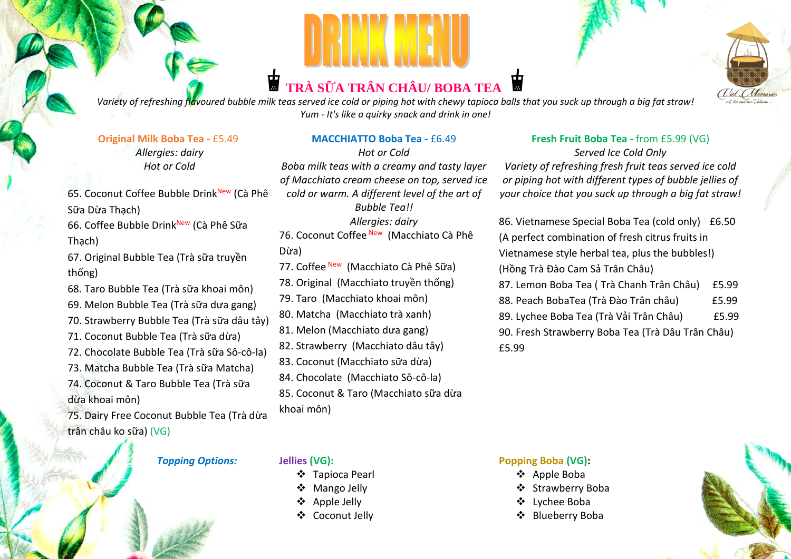# **TRÀ SỮA TRÂN CHÂU/ BOBA TEA**



*Variety of refreshing flavoured bubble milk teas served ice cold or piping hot with chewy tapioca balls that you suck up through a big fat straw! Yum - It's like a quirky snack and drink in one!*

#### **Original Milk Boba Tea -** £5.49

*Allergies: dairy Hot or Cold*

65. Coconut Coffee Bubble Drink<sup>New</sup> (Cà Phê Sữa Dừa Thạch)

66. Coffee Bubble DrinkNew (Cà Phê Sữa Thạch)

67. Original Bubble Tea (Trà sữa truyền thống)

- 68. Taro Bubble Tea (Trà sữa khoai môn)
- 69. Melon Bubble Tea (Trà sữa dưa gang)
- 70. Strawberry Bubble Tea (Trà sữa dâu tây)
- 71. Coconut Bubble Tea (Trà sữa dừa)
- 72. Chocolate Bubble Tea (Trà sữa Sô-cô-la)
- 73. Matcha Bubble Tea (Trà sữa Matcha)
- 74. Coconut & Taro Bubble Tea (Trà sữa dừa khoai môn)

75. Dairy Free Coconut Bubble Tea (Trà dừa trân châu ko sữa) (VG)

#### *Topping Options:* **Jellies (VG):**

#### **MACCHIATTO Boba Tea -** £6.49

*Hot or Cold Boba milk teas with a creamy and tasty layer of Macchiato cream cheese on top, served ice cold or warm. A different level of the art of Bubble Tea!! Allergies: dairy* 76. Coconut Coffee New (Macchiato Cà Phê

#### Dừa)

77. Coffee New (Macchiato Cà Phê Sữa) 78. Original (Macchiato truyền thống) 79. Taro (Macchiato khoai môn)

80. Matcha (Macchiato trà xanh)

81. Melon (Macchiato dưa gang)

82. Strawberry (Macchiato dâu tây)

- 83. Coconut (Macchiato sữa dừa)
- 84. Chocolate (Macchiato Sô-cô-la)

85. Coconut & Taro (Macchiato sữa dừa khoai môn)

## **Fresh Fruit Boba Tea -** from £5.99 (VG)

*Served Ice Cold Only Variety of refreshing fresh fruit teas served ice cold or piping hot with different types of bubble jellies of your choice that you suck up through a big fat straw!*

86. Vietnamese Special Boba Tea (cold only) £6.50 (A perfect combination of fresh citrus fruits in Vietnamese style herbal tea, plus the bubbles!) (Hồng Trà Đào Cam Sả Trân Châu) 87. Lemon Boba Tea ( Trà Chanh Trân Châu) £5.99 88. Peach BobaTea (Trà Đào Trân châu) £5.99 89. Lychee Boba Tea (Trà Vải Trân Châu) £5.99 90. Fresh Strawberry Boba Tea (Trà Dâu Trân Châu) £5.99

- ❖ Tapioca Pearl
- ❖ Mango Jelly
- ❖ Apple Jelly
- ❖ Coconut Jelly

#### **Popping Boba (VG):**

- ❖ Apple Boba
- ❖ Strawberry Boba
- ❖ Lychee Boba
- ❖ Blueberry Boba

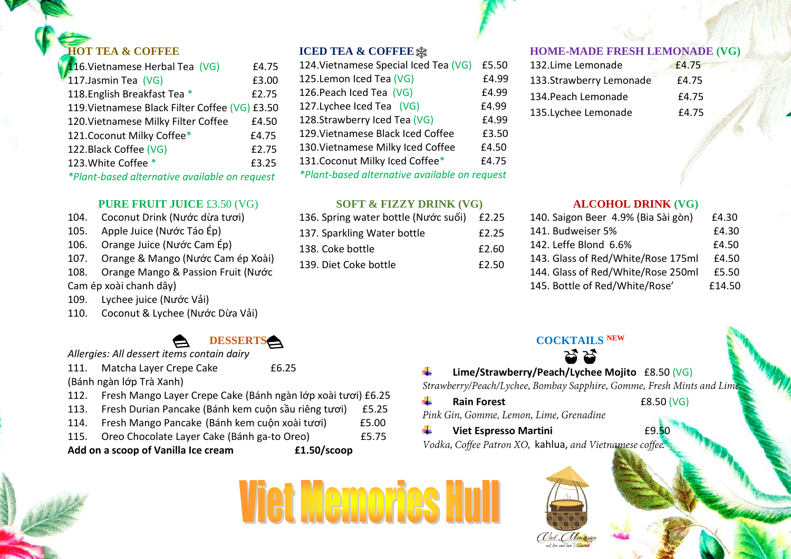#### **IOT TEA & COFFEE**

| £4.75                                          |
|------------------------------------------------|
| £3.00                                          |
| £2.75                                          |
| 119. Vietnamese Black Filter Coffee (VG) £3.50 |
| £4.50                                          |
| £4.75                                          |
| £2.75                                          |
| £3.25                                          |
| *Plant-based alternative available on request  |
|                                                |

#### **PURE FRUIT JUICE** £3.50 (VG)

#### 104. Coconut Drink (Nước dừa tươi)

- 105. Apple Juice (Nước Táo Ép)
- 106. Orange Juice (Nước Cam Ép)
- 107. Orange & Mango (Nước Cam ép Xoài)
- 108. Orange Mango & Passion Fruit (Nước

Cam ép xoài chanh dây)

- 109. Lychee juice (Nước Vải)
- 110. Coconut & Lychee (Nước Dừa Vải)

### **DESSERTS**

*Allergies: All dessert items contain dairy*

111. Matcha Layer Crepe Cake 6.25 (Bánh ngàn lớp Trà Xanh)

- 112. Fresh Mango Layer Crepe Cake (Bánh ngàn lớp xoài tươi) £6.25
- 113. Fresh Durian Pancake (Bánh kem cuộn sầu riêng tươi) £5.25
- 114. Fresh Mango Pancake (Bánh kem cuộn xoài tươi) £5.00
- 115. Oreo Chocolate Layer Cake (Bánh ga-to Oreo) £5.75

**Add on a scoop of Vanilla Ice cream £1.50/scoop**

**Viet Memories** 

#### **ICED TEA & COFFEE**

| 124. Vietnamese Special Iced Tea (VG)         | £5.50 |
|-----------------------------------------------|-------|
| 125. Lemon Iced Tea (VG)                      | £4.99 |
| 126. Peach Iced Tea (VG)                      | £4.99 |
| 127. Lychee Iced Tea (VG)                     | £4.99 |
| 128.Strawberry Iced Tea (VG)                  | £4.99 |
| 129. Vietnamese Black Iced Coffee             | £3.50 |
| 130. Vietnamese Milky Iced Coffee             | £4.50 |
| 131. Coconut Milky Iced Coffee*               | £4.75 |
| *Plant-based alternative available on request |       |
|                                               |       |

#### **SOFT & FIZZY DRINK (VG)**

| 136. Spring water bottle (Nước suối) £2.25 |       |
|--------------------------------------------|-------|
| 137. Sparkling Water bottle                | £2.25 |
| 138. Coke bottle                           | £2.60 |
| 139. Diet Coke bottle                      | £2.50 |
|                                            |       |

#### **HOME-MADE FRESH LEMONADE (VG)**

#### **ALCOHOL DRINK (VG)**

| 140. Saigon Beer 4.9% (Bia Sài gòn) | £4.30  |
|-------------------------------------|--------|
| 141. Budweiser 5%                   | £4.30  |
| 142. Leffe Blond 6.6%               | £4.50  |
| 143. Glass of Red/White/Rose 175ml  | £4.50  |
| 144. Glass of Red/White/Rose 250ml  | £5.50  |
| 145. Bottle of Red/White/Rose'      | £14.50 |
|                                     |        |

#### **COCKTAILS NEW** ಚ ಚ

#### ÷

**Lime/Strawberry/Peach/Lychee Mojito** £8.50 (VG)

÷. **Rain Forest E8.50 (VG)** Pink Gin, Gomme, Lemon, Lime, Grenadine

#### **Viet Espresso Martini E9.5** ÷

Vodka, Coffee Patron XO, kahlua, and Vietnamese coffee.